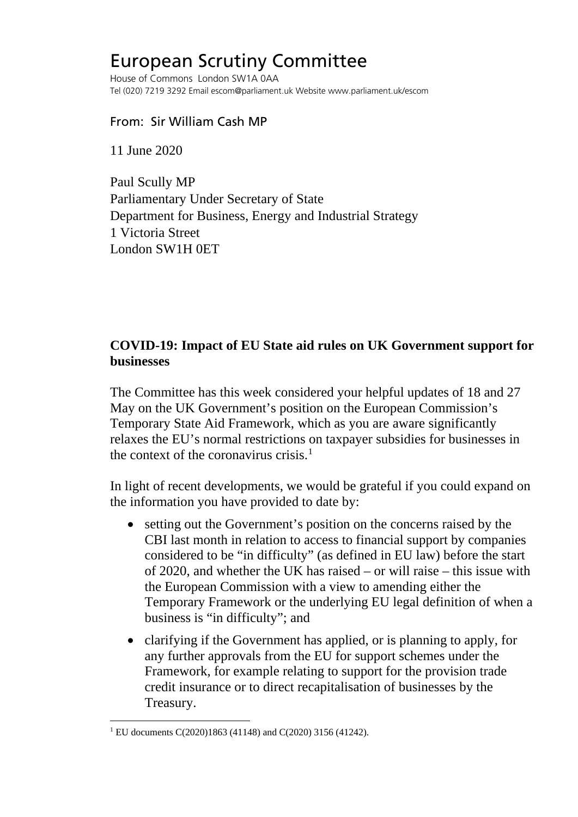## European Scrutiny Committee

House of Commons London SW1A 0AA Tel (020) 7219 3292 Email escom@parliament.uk Website www.parliament.uk/escom

## From: Sir William Cash MP

11 June 2020

Paul Scully MP Parliamentary Under Secretary of State Department for Business, Energy and Industrial Strategy 1 Victoria Street London SW1H 0ET

## **COVID-19: Impact of EU State aid rules on UK Government support for businesses**

The Committee has this week considered your helpful updates of 18 and 27 May on the UK Government's position on the European Commission's Temporary State Aid Framework, which as you are aware significantly relaxes the EU's normal restrictions on taxpayer subsidies for businesses in the context of the coronavirus crisis.<sup>[1](#page-0-0)</sup>

In light of recent developments, we would be grateful if you could expand on the information you have provided to date by:

- setting out the Government's position on the concerns raised by the CBI last month in relation to access to financial support by companies considered to be "in difficulty" (as defined in EU law) before the start of 2020, and whether the UK has raised – or will raise – this issue with the European Commission with a view to amending either the Temporary Framework or the underlying EU legal definition of when a business is "in difficulty"; and
- clarifying if the Government has applied, or is planning to apply, for any further approvals from the EU for support schemes under the Framework, for example relating to support for the provision trade credit insurance or to direct recapitalisation of businesses by the Treasury.

<span id="page-0-0"></span><sup>1</sup> EU documents C(2020)1863 (41148) and C(2020) 3156 (41242).